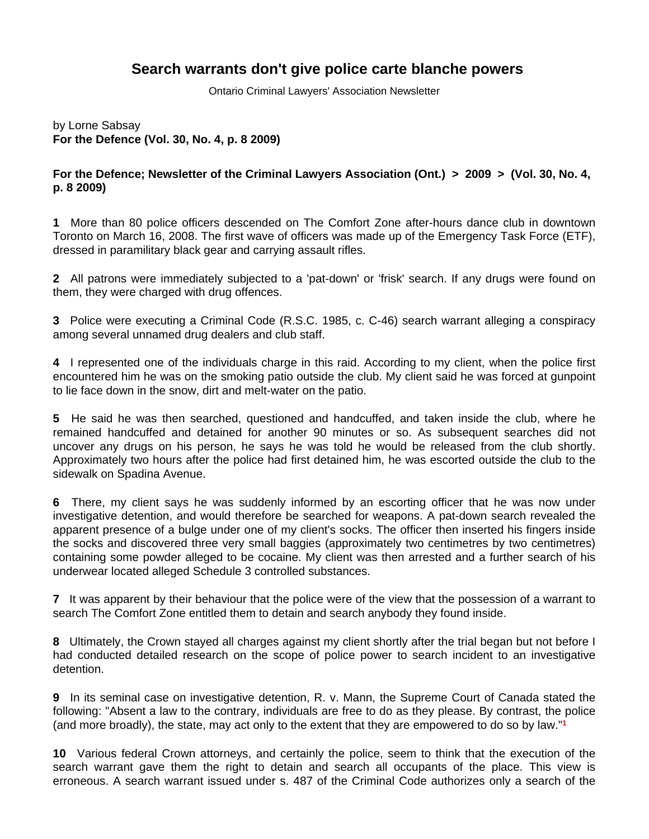## **Search warrants don't give police carte blanche powers**

Ontario Criminal Lawyers' Association Newsletter

by Lorne Sabsay **For the Defence (Vol. 30, No. 4, p. 8 2009)**

## **For the Defence; Newsletter of the Criminal Lawyers Association (Ont.) > 2009 > (Vol. 30, No. 4, p. 8 2009)**

**1** More than 80 police officers descended on The Comfort Zone after-hours dance club in downtown Toronto on March 16, 2008. The first wave of officers was made up of the Emergency Task Force (ETF), dressed in paramilitary black gear and carrying assault rifles.

**2** All patrons were immediately subjected to a 'pat-down' or 'frisk' search. If any drugs were found on them, they were charged with drug offences.

**3** Police were executing a Criminal Code (R.S.C. 1985, c. C-46) search warrant alleging a conspiracy among several unnamed drug dealers and club staff.

**4** I represented one of the individuals charge in this raid. According to my client, when the police first encountered him he was on the smoking patio outside the club. My client said he was forced at gunpoint to lie face down in the snow, dirt and melt-water on the patio.

**5** He said he was then searched, questioned and handcuffed, and taken inside the club, where he remained handcuffed and detained for another 90 minutes or so. As subsequent searches did not uncover any drugs on his person, he says he was told he would be released from the club shortly. Approximately two hours after the police had first detained him, he was escorted outside the club to the sidewalk on Spadina Avenue.

**6** There, my client says he was suddenly informed by an escorting officer that he was now under investigative detention, and would therefore be searched for weapons. A pat-down search revealed the apparent presence of a bulge under one of my client's socks. The officer then inserted his fingers inside the socks and discovered three very small baggies (approximately two centimetres by two centimetres) containing some powder alleged to be cocaine. My client was then arrested and a further search of his underwear located alleged Schedule 3 controlled substances.

**7** It was apparent by their behaviour that the police were of the view that the possession of a warrant to search The Comfort Zone entitled them to detain and search anybody they found inside.

**8** Ultimately, the Crown stayed all charges against my client shortly after the trial began but not before I had conducted detailed research on the scope of police power to search incident to an investigative detention.

**9** In its seminal case on investigative detention, R. v. Mann, the Supreme Court of Canada stated the following: "Absent a law to the contrary, individuals are free to do as they please. By contrast, the police (and more broadly), the state, may act only to the extent that they are empowered to do so by law."**<sup>1</sup>**

**10** Various federal Crown attorneys, and certainly the police, seem to think that the execution of the search warrant gave them the right to detain and search all occupants of the place. This view is erroneous. A search warrant issued under s. 487 of the Criminal Code authorizes only a search of the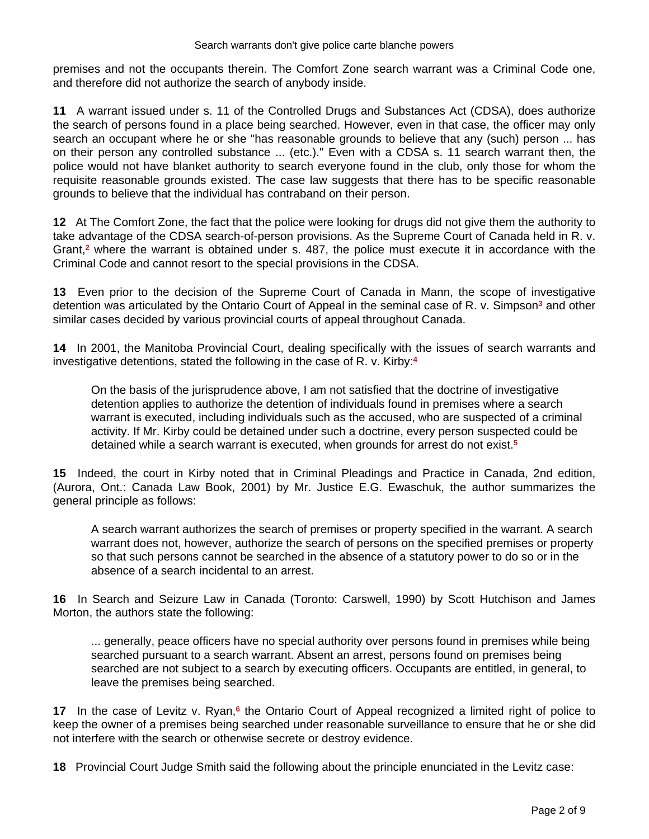premises and not the occupants therein. The Comfort Zone search warrant was a Criminal Code one, and therefore did not authorize the search of anybody inside.

**11** A warrant issued under s. 11 of the Controlled Drugs and Substances Act (CDSA), does authorize the search of persons found in a place being searched. However, even in that case, the officer may only search an occupant where he or she "has reasonable grounds to believe that any (such) person ... has on their person any controlled substance ... (etc.)." Even with a CDSA s. 11 search warrant then, the police would not have blanket authority to search everyone found in the club, only those for whom the requisite reasonable grounds existed. The case law suggests that there has to be specific reasonable grounds to believe that the individual has contraband on their person.

**12** At The Comfort Zone, the fact that the police were looking for drugs did not give them the authority to take advantage of the CDSA search-of-person provisions. As the Supreme Court of Canada held in R. v. Grant,**<sup>2</sup>** where the warrant is obtained under s. 487, the police must execute it in accordance with the Criminal Code and cannot resort to the special provisions in the CDSA.

**13** Even prior to the decision of the Supreme Court of Canada in Mann, the scope of investigative detention was articulated by the Ontario Court of Appeal in the seminal case of R. v. Simpson<sup>3</sup> and other similar cases decided by various provincial courts of appeal throughout Canada.

**14** In 2001, the Manitoba Provincial Court, dealing specifically with the issues of search warrants and investigative detentions, stated the following in the case of R. v. Kirby:**<sup>4</sup>**

On the basis of the jurisprudence above, I am not satisfied that the doctrine of investigative detention applies to authorize the detention of individuals found in premises where a search warrant is executed, including individuals such as the accused, who are suspected of a criminal activity. If Mr. Kirby could be detained under such a doctrine, every person suspected could be detained while a search warrant is executed, when grounds for arrest do not exist.**<sup>5</sup>**

**15** Indeed, the court in Kirby noted that in Criminal Pleadings and Practice in Canada, 2nd edition, (Aurora, Ont.: Canada Law Book, 2001) by Mr. Justice E.G. Ewaschuk, the author summarizes the general principle as follows:

A search warrant authorizes the search of premises or property specified in the warrant. A search warrant does not, however, authorize the search of persons on the specified premises or property so that such persons cannot be searched in the absence of a statutory power to do so or in the absence of a search incidental to an arrest.

**16** In Search and Seizure Law in Canada (Toronto: Carswell, 1990) by Scott Hutchison and James Morton, the authors state the following:

... generally, peace officers have no special authority over persons found in premises while being searched pursuant to a search warrant. Absent an arrest, persons found on premises being searched are not subject to a search by executing officers. Occupants are entitled, in general, to leave the premises being searched.

17 In the case of Levitz v. Ryan,<sup>6</sup> the Ontario Court of Appeal recognized a limited right of police to keep the owner of a premises being searched under reasonable surveillance to ensure that he or she did not interfere with the search or otherwise secrete or destroy evidence.

**18** Provincial Court Judge Smith said the following about the principle enunciated in the Levitz case: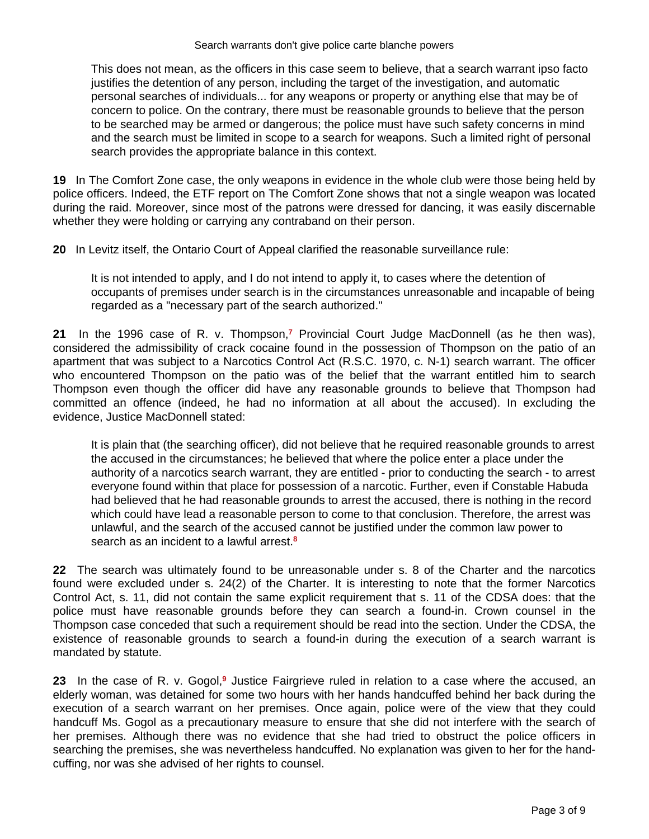This does not mean, as the officers in this case seem to believe, that a search warrant ipso facto justifies the detention of any person, including the target of the investigation, and automatic personal searches of individuals... for any weapons or property or anything else that may be of concern to police. On the contrary, there must be reasonable grounds to believe that the person to be searched may be armed or dangerous; the police must have such safety concerns in mind and the search must be limited in scope to a search for weapons. Such a limited right of personal search provides the appropriate balance in this context.

**19** In The Comfort Zone case, the only weapons in evidence in the whole club were those being held by police officers. Indeed, the ETF report on The Comfort Zone shows that not a single weapon was located during the raid. Moreover, since most of the patrons were dressed for dancing, it was easily discernable whether they were holding or carrying any contraband on their person.

**20** In Levitz itself, the Ontario Court of Appeal clarified the reasonable surveillance rule:

It is not intended to apply, and I do not intend to apply it, to cases where the detention of occupants of premises under search is in the circumstances unreasonable and incapable of being regarded as a "necessary part of the search authorized."

**21** In the 1996 case of R. v. Thompson,**<sup>7</sup>** Provincial Court Judge MacDonnell (as he then was), considered the admissibility of crack cocaine found in the possession of Thompson on the patio of an apartment that was subject to a Narcotics Control Act (R.S.C. 1970, c. N-1) search warrant. The officer who encountered Thompson on the patio was of the belief that the warrant entitled him to search Thompson even though the officer did have any reasonable grounds to believe that Thompson had committed an offence (indeed, he had no information at all about the accused). In excluding the evidence, Justice MacDonnell stated:

It is plain that (the searching officer), did not believe that he required reasonable grounds to arrest the accused in the circumstances; he believed that where the police enter a place under the authority of a narcotics search warrant, they are entitled - prior to conducting the search - to arrest everyone found within that place for possession of a narcotic. Further, even if Constable Habuda had believed that he had reasonable grounds to arrest the accused, there is nothing in the record which could have lead a reasonable person to come to that conclusion. Therefore, the arrest was unlawful, and the search of the accused cannot be justified under the common law power to search as an incident to a lawful arrest.**<sup>8</sup>**

**22** The search was ultimately found to be unreasonable under s. 8 of the Charter and the narcotics found were excluded under s. 24(2) of the Charter. It is interesting to note that the former Narcotics Control Act, s. 11, did not contain the same explicit requirement that s. 11 of the CDSA does: that the police must have reasonable grounds before they can search a found-in. Crown counsel in the Thompson case conceded that such a requirement should be read into the section. Under the CDSA, the existence of reasonable grounds to search a found-in during the execution of a search warrant is mandated by statute.

23 In the case of R. v. Gogol,<sup>9</sup> Justice Fairgrieve ruled in relation to a case where the accused, an elderly woman, was detained for some two hours with her hands handcuffed behind her back during the execution of a search warrant on her premises. Once again, police were of the view that they could handcuff Ms. Gogol as a precautionary measure to ensure that she did not interfere with the search of her premises. Although there was no evidence that she had tried to obstruct the police officers in searching the premises, she was nevertheless handcuffed. No explanation was given to her for the handcuffing, nor was she advised of her rights to counsel.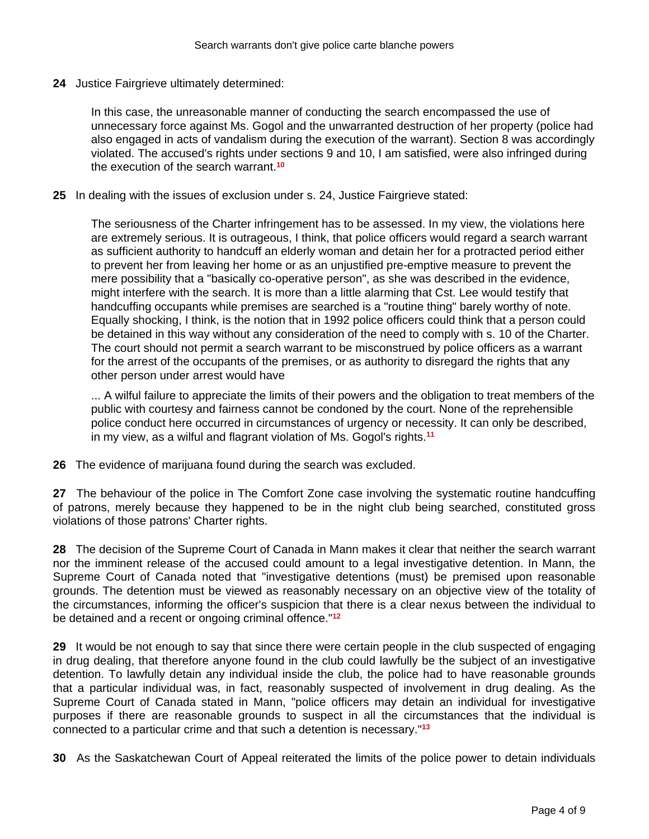**24** Justice Fairgrieve ultimately determined:

In this case, the unreasonable manner of conducting the search encompassed the use of unnecessary force against Ms. Gogol and the unwarranted destruction of her property (police had also engaged in acts of vandalism during the execution of the warrant). Section 8 was accordingly violated. The accused's rights under sections 9 and 10, I am satisfied, were also infringed during the execution of the search warrant.**<sup>10</sup>**

**25** In dealing with the issues of exclusion under s. 24, Justice Fairgrieve stated:

The seriousness of the Charter infringement has to be assessed. In my view, the violations here are extremely serious. It is outrageous, I think, that police officers would regard a search warrant as sufficient authority to handcuff an elderly woman and detain her for a protracted period either to prevent her from leaving her home or as an unjustified pre-emptive measure to prevent the mere possibility that a "basically co-operative person", as she was described in the evidence, might interfere with the search. It is more than a little alarming that Cst. Lee would testify that handcuffing occupants while premises are searched is a "routine thing" barely worthy of note. Equally shocking, I think, is the notion that in 1992 police officers could think that a person could be detained in this way without any consideration of the need to comply with s. 10 of the Charter. The court should not permit a search warrant to be misconstrued by police officers as a warrant for the arrest of the occupants of the premises, or as authority to disregard the rights that any other person under arrest would have

... A wilful failure to appreciate the limits of their powers and the obligation to treat members of the public with courtesy and fairness cannot be condoned by the court. None of the reprehensible police conduct here occurred in circumstances of urgency or necessity. It can only be described, in my view, as a wilful and flagrant violation of Ms. Gogol's rights.**<sup>11</sup>**

**26** The evidence of marijuana found during the search was excluded.

**27** The behaviour of the police in The Comfort Zone case involving the systematic routine handcuffing of patrons, merely because they happened to be in the night club being searched, constituted gross violations of those patrons' Charter rights.

**28** The decision of the Supreme Court of Canada in Mann makes it clear that neither the search warrant nor the imminent release of the accused could amount to a legal investigative detention. In Mann, the Supreme Court of Canada noted that "investigative detentions (must) be premised upon reasonable grounds. The detention must be viewed as reasonably necessary on an objective view of the totality of the circumstances, informing the officer's suspicion that there is a clear nexus between the individual to be detained and a recent or ongoing criminal offence."**<sup>12</sup>**

**29** It would be not enough to say that since there were certain people in the club suspected of engaging in drug dealing, that therefore anyone found in the club could lawfully be the subject of an investigative detention. To lawfully detain any individual inside the club, the police had to have reasonable grounds that a particular individual was, in fact, reasonably suspected of involvement in drug dealing. As the Supreme Court of Canada stated in Mann, "police officers may detain an individual for investigative purposes if there are reasonable grounds to suspect in all the circumstances that the individual is connected to a particular crime and that such a detention is necessary."**<sup>13</sup>**

**30** As the Saskatchewan Court of Appeal reiterated the limits of the police power to detain individuals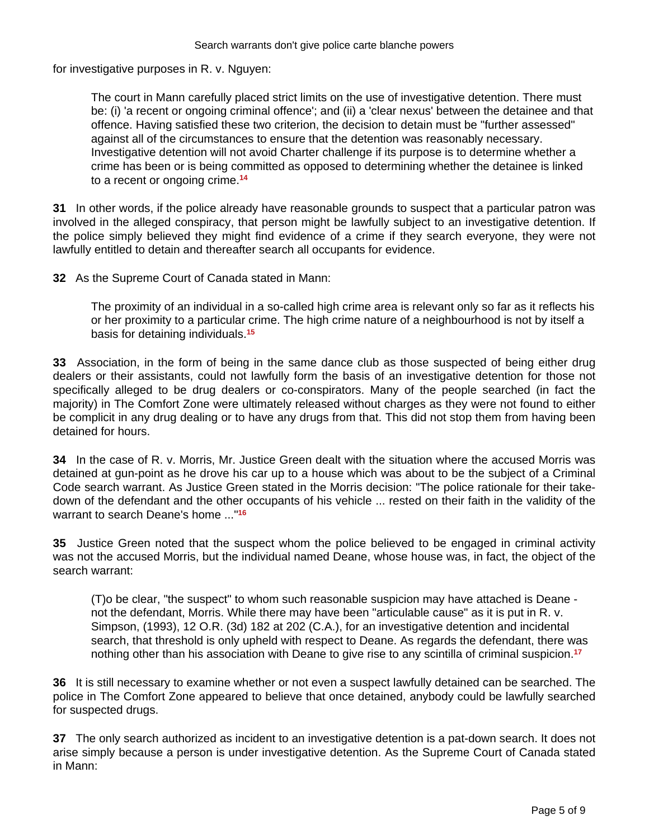for investigative purposes in R. v. Nguyen:

The court in Mann carefully placed strict limits on the use of investigative detention. There must be: (i) 'a recent or ongoing criminal offence'; and (ii) a 'clear nexus' between the detainee and that offence. Having satisfied these two criterion, the decision to detain must be "further assessed" against all of the circumstances to ensure that the detention was reasonably necessary. Investigative detention will not avoid Charter challenge if its purpose is to determine whether a crime has been or is being committed as opposed to determining whether the detainee is linked to a recent or ongoing crime.**<sup>14</sup>**

**31** In other words, if the police already have reasonable grounds to suspect that a particular patron was involved in the alleged conspiracy, that person might be lawfully subject to an investigative detention. If the police simply believed they might find evidence of a crime if they search everyone, they were not lawfully entitled to detain and thereafter search all occupants for evidence.

**32** As the Supreme Court of Canada stated in Mann:

The proximity of an individual in a so-called high crime area is relevant only so far as it reflects his or her proximity to a particular crime. The high crime nature of a neighbourhood is not by itself a basis for detaining individuals.**<sup>15</sup>**

**33** Association, in the form of being in the same dance club as those suspected of being either drug dealers or their assistants, could not lawfully form the basis of an investigative detention for those not specifically alleged to be drug dealers or co-conspirators. Many of the people searched (in fact the majority) in The Comfort Zone were ultimately released without charges as they were not found to either be complicit in any drug dealing or to have any drugs from that. This did not stop them from having been detained for hours.

**34** In the case of R. v. Morris, Mr. Justice Green dealt with the situation where the accused Morris was detained at gun-point as he drove his car up to a house which was about to be the subject of a Criminal Code search warrant. As Justice Green stated in the Morris decision: "The police rationale for their takedown of the defendant and the other occupants of his vehicle ... rested on their faith in the validity of the warrant to search Deane's home ..."**<sup>16</sup>**

**35** Justice Green noted that the suspect whom the police believed to be engaged in criminal activity was not the accused Morris, but the individual named Deane, whose house was, in fact, the object of the search warrant:

(T)o be clear, "the suspect" to whom such reasonable suspicion may have attached is Deane not the defendant, Morris. While there may have been "articulable cause" as it is put in R. v. Simpson, (1993), 12 O.R. (3d) 182 at 202 (C.A.), for an investigative detention and incidental search, that threshold is only upheld with respect to Deane. As regards the defendant, there was nothing other than his association with Deane to give rise to any scintilla of criminal suspicion.**<sup>17</sup>**

**36** It is still necessary to examine whether or not even a suspect lawfully detained can be searched. The police in The Comfort Zone appeared to believe that once detained, anybody could be lawfully searched for suspected drugs.

**37** The only search authorized as incident to an investigative detention is a pat-down search. It does not arise simply because a person is under investigative detention. As the Supreme Court of Canada stated in Mann: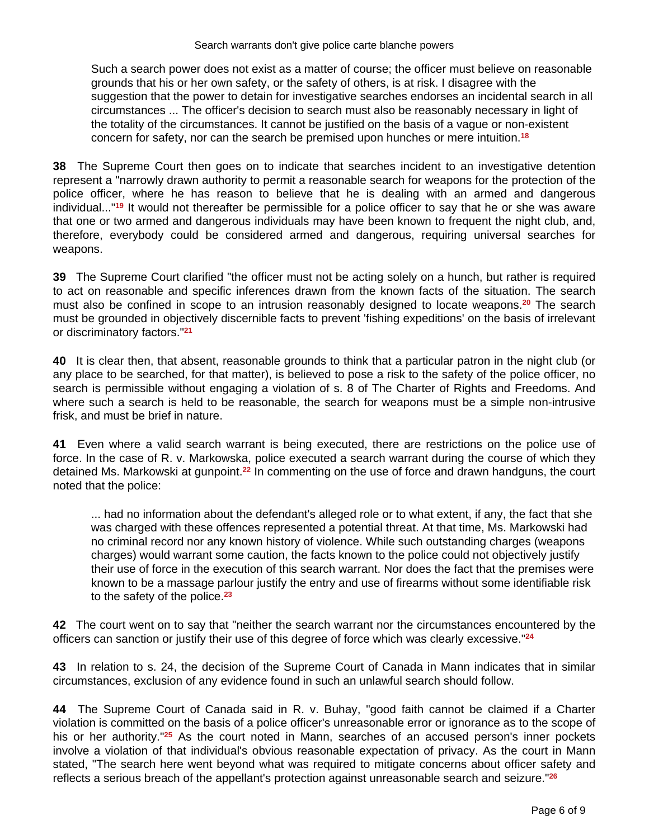Such a search power does not exist as a matter of course; the officer must believe on reasonable grounds that his or her own safety, or the safety of others, is at risk. I disagree with the suggestion that the power to detain for investigative searches endorses an incidental search in all circumstances ... The officer's decision to search must also be reasonably necessary in light of the totality of the circumstances. It cannot be justified on the basis of a vague or non-existent concern for safety, nor can the search be premised upon hunches or mere intuition.**<sup>18</sup>**

**38** The Supreme Court then goes on to indicate that searches incident to an investigative detention represent a "narrowly drawn authority to permit a reasonable search for weapons for the protection of the police officer, where he has reason to believe that he is dealing with an armed and dangerous individual..."**<sup>19</sup>** It would not thereafter be permissible for a police officer to say that he or she was aware that one or two armed and dangerous individuals may have been known to frequent the night club, and, therefore, everybody could be considered armed and dangerous, requiring universal searches for weapons.

**39** The Supreme Court clarified "the officer must not be acting solely on a hunch, but rather is required to act on reasonable and specific inferences drawn from the known facts of the situation. The search must also be confined in scope to an intrusion reasonably designed to locate weapons.**<sup>20</sup>** The search must be grounded in objectively discernible facts to prevent 'fishing expeditions' on the basis of irrelevant or discriminatory factors."**<sup>21</sup>**

**40** It is clear then, that absent, reasonable grounds to think that a particular patron in the night club (or any place to be searched, for that matter), is believed to pose a risk to the safety of the police officer, no search is permissible without engaging a violation of s. 8 of The Charter of Rights and Freedoms. And where such a search is held to be reasonable, the search for weapons must be a simple non-intrusive frisk, and must be brief in nature.

**41** Even where a valid search warrant is being executed, there are restrictions on the police use of force. In the case of R. v. Markowska, police executed a search warrant during the course of which they detained Ms. Markowski at gunpoint.**<sup>22</sup>** In commenting on the use of force and drawn handguns, the court noted that the police:

... had no information about the defendant's alleged role or to what extent, if any, the fact that she was charged with these offences represented a potential threat. At that time, Ms. Markowski had no criminal record nor any known history of violence. While such outstanding charges (weapons charges) would warrant some caution, the facts known to the police could not objectively justify their use of force in the execution of this search warrant. Nor does the fact that the premises were known to be a massage parlour justify the entry and use of firearms without some identifiable risk to the safety of the police.**<sup>23</sup>**

**42** The court went on to say that "neither the search warrant nor the circumstances encountered by the officers can sanction or justify their use of this degree of force which was clearly excessive."**<sup>24</sup>**

**43** In relation to s. 24, the decision of the Supreme Court of Canada in Mann indicates that in similar circumstances, exclusion of any evidence found in such an unlawful search should follow.

**44** The Supreme Court of Canada said in R. v. Buhay, "good faith cannot be claimed if a Charter violation is committed on the basis of a police officer's unreasonable error or ignorance as to the scope of his or her authority."**<sup>25</sup>** As the court noted in Mann, searches of an accused person's inner pockets involve a violation of that individual's obvious reasonable expectation of privacy. As the court in Mann stated, "The search here went beyond what was required to mitigate concerns about officer safety and reflects a serious breach of the appellant's protection against unreasonable search and seizure."**26**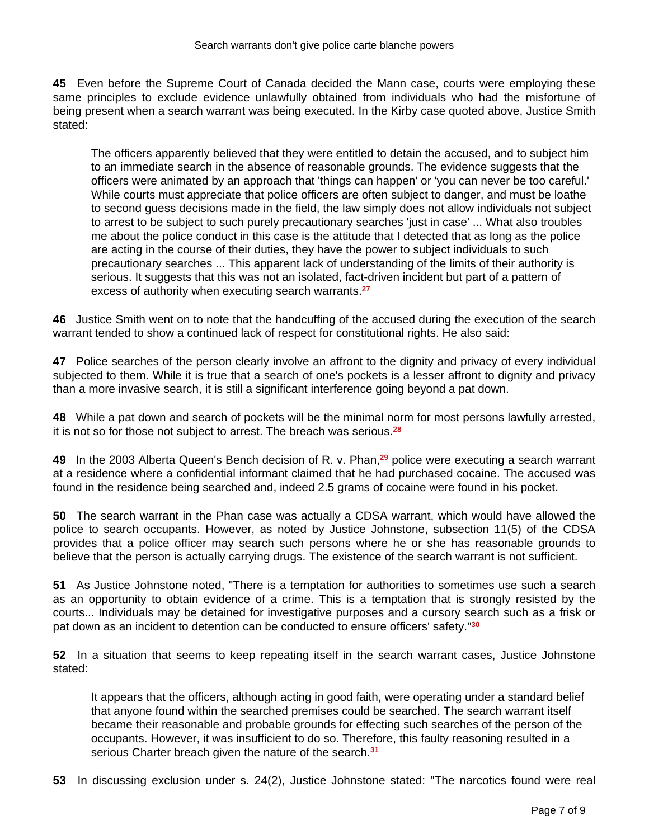**45** Even before the Supreme Court of Canada decided the Mann case, courts were employing these same principles to exclude evidence unlawfully obtained from individuals who had the misfortune of being present when a search warrant was being executed. In the Kirby case quoted above, Justice Smith stated:

The officers apparently believed that they were entitled to detain the accused, and to subject him to an immediate search in the absence of reasonable grounds. The evidence suggests that the officers were animated by an approach that 'things can happen' or 'you can never be too careful.' While courts must appreciate that police officers are often subject to danger, and must be loathe to second guess decisions made in the field, the law simply does not allow individuals not subject to arrest to be subject to such purely precautionary searches 'just in case' ... What also troubles me about the police conduct in this case is the attitude that I detected that as long as the police are acting in the course of their duties, they have the power to subject individuals to such precautionary searches ... This apparent lack of understanding of the limits of their authority is serious. It suggests that this was not an isolated, fact-driven incident but part of a pattern of excess of authority when executing search warrants.**<sup>27</sup>**

**46** Justice Smith went on to note that the handcuffing of the accused during the execution of the search warrant tended to show a continued lack of respect for constitutional rights. He also said:

**47** Police searches of the person clearly involve an affront to the dignity and privacy of every individual subjected to them. While it is true that a search of one's pockets is a lesser affront to dignity and privacy than a more invasive search, it is still a significant interference going beyond a pat down.

**48** While a pat down and search of pockets will be the minimal norm for most persons lawfully arrested, it is not so for those not subject to arrest. The breach was serious.**<sup>28</sup>**

**49** In the 2003 Alberta Queen's Bench decision of R. v. Phan,**<sup>29</sup>** police were executing a search warrant at a residence where a confidential informant claimed that he had purchased cocaine. The accused was found in the residence being searched and, indeed 2.5 grams of cocaine were found in his pocket.

**50** The search warrant in the Phan case was actually a CDSA warrant, which would have allowed the police to search occupants. However, as noted by Justice Johnstone, subsection 11(5) of the CDSA provides that a police officer may search such persons where he or she has reasonable grounds to believe that the person is actually carrying drugs. The existence of the search warrant is not sufficient.

**51** As Justice Johnstone noted, "There is a temptation for authorities to sometimes use such a search as an opportunity to obtain evidence of a crime. This is a temptation that is strongly resisted by the courts... Individuals may be detained for investigative purposes and a cursory search such as a frisk or pat down as an incident to detention can be conducted to ensure officers' safety."**<sup>30</sup>**

**52** In a situation that seems to keep repeating itself in the search warrant cases, Justice Johnstone stated:

It appears that the officers, although acting in good faith, were operating under a standard belief that anyone found within the searched premises could be searched. The search warrant itself became their reasonable and probable grounds for effecting such searches of the person of the occupants. However, it was insufficient to do so. Therefore, this faulty reasoning resulted in a serious Charter breach given the nature of the search.**<sup>31</sup>**

**53** In discussing exclusion under s. 24(2), Justice Johnstone stated: "The narcotics found were real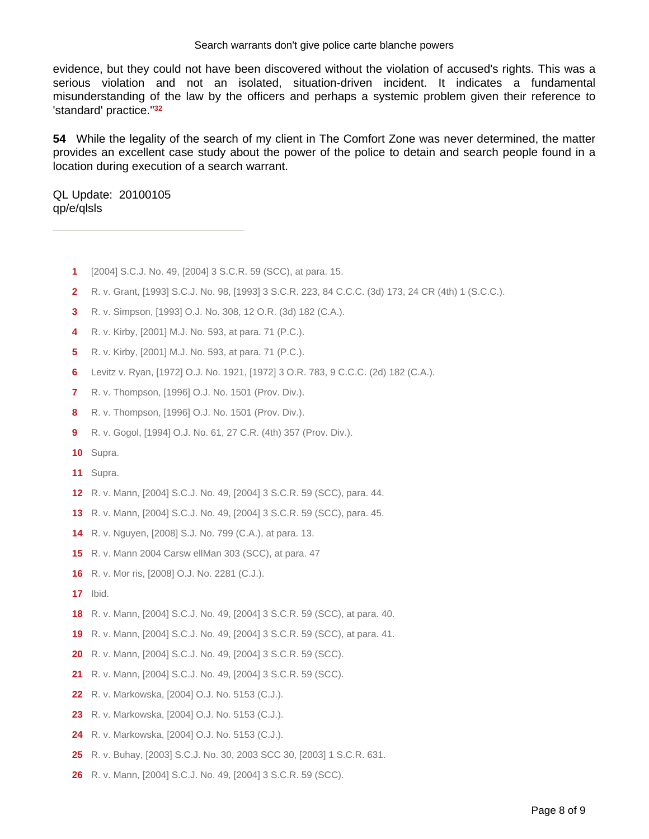## Search warrants don't give police carte blanche powers

evidence, but they could not have been discovered without the violation of accused's rights. This was a serious violation and not an isolated, situation-driven incident. It indicates a fundamental misunderstanding of the law by the officers and perhaps a systemic problem given their reference to 'standard' practice."**<sup>32</sup>**

 While the legality of the search of my client in The Comfort Zone was never determined, the matter provides an excellent case study about the power of the police to detain and search people found in a location during execution of a search warrant.

QL Update: 20100105 qp/e/qlsls

- [2004] S.C.J. No. 49, [2004] 3 S.C.R. 59 (SCC), at para. 15.
- R. v. Grant, [1993] S.C.J. No. 98, [1993] 3 S.C.R. 223, 84 C.C.C. (3d) 173, 24 CR (4th) 1 (S.C.C.).
- R. v. Simpson, [1993] O.J. No. 308, 12 O.R. (3d) 182 (C.A.).
- R. v. Kirby, [2001] M.J. No. 593, at para. 71 (P.C.).
- R. v. Kirby, [2001] M.J. No. 593, at para. 71 (P.C.).
- Levitz v. Ryan, [1972] O.J. No. 1921, [1972] 3 O.R. 783, 9 C.C.C. (2d) 182 (C.A.).
- R. v. Thompson, [1996] O.J. No. 1501 (Prov. Div.).
- R. v. Thompson, [1996] O.J. No. 1501 (Prov. Div.).
- R. v. Gogol, [1994] O.J. No. 61, 27 C.R. (4th) 357 (Prov. Div.).
- Supra.
- Supra.
- R. v. Mann, [2004] S.C.J. No. 49, [2004] 3 S.C.R. 59 (SCC), para. 44.
- R. v. Mann, [2004] S.C.J. No. 49, [2004] 3 S.C.R. 59 (SCC), para. 45.
- R. v. Nguyen, [2008] S.J. No. 799 (C.A.), at para. 13.
- R. v. Mann 2004 Carsw ellMan 303 (SCC), at para. 47
- R. v. Mor ris, [2008] O.J. No. 2281 (C.J.).
- Ibid.
- R. v. Mann, [2004] S.C.J. No. 49, [2004] 3 S.C.R. 59 (SCC), at para. 40.
- R. v. Mann, [2004] S.C.J. No. 49, [2004] 3 S.C.R. 59 (SCC), at para. 41.
- R. v. Mann, [2004] S.C.J. No. 49, [2004] 3 S.C.R. 59 (SCC).
- R. v. Mann, [2004] S.C.J. No. 49, [2004] 3 S.C.R. 59 (SCC).
- R. v. Markowska, [2004] O.J. No. 5153 (C.J.).
- R. v. Markowska, [2004] O.J. No. 5153 (C.J.).
- R. v. Markowska, [2004] O.J. No. 5153 (C.J.).
- R. v. Buhay, [2003] S.C.J. No. 30, 2003 SCC 30, [2003] 1 S.C.R. 631.
- R. v. Mann, [2004] S.C.J. No. 49, [2004] 3 S.C.R. 59 (SCC).